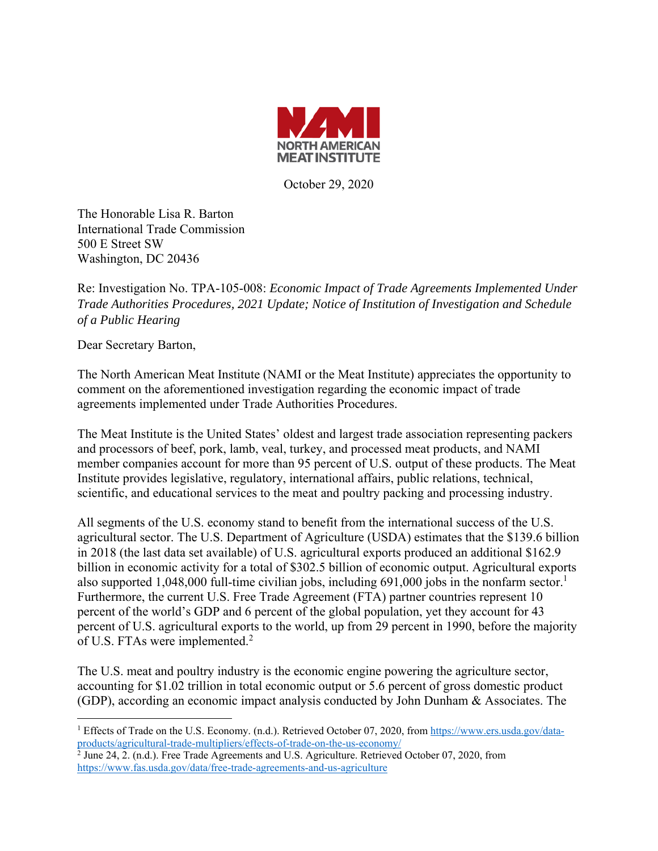

October 29, 2020

The Honorable Lisa R. Barton International Trade Commission 500 E Street SW Washington, DC 20436

Re: Investigation No. TPA-105-008: *Economic Impact of Trade Agreements Implemented Under Trade Authorities Procedures, 2021 Update; Notice of Institution of Investigation and Schedule of a Public Hearing* 

Dear Secretary Barton,

The North American Meat Institute (NAMI or the Meat Institute) appreciates the opportunity to comment on the aforementioned investigation regarding the economic impact of trade agreements implemented under Trade Authorities Procedures.

The Meat Institute is the United States' oldest and largest trade association representing packers and processors of beef, pork, lamb, veal, turkey, and processed meat products, and NAMI member companies account for more than 95 percent of U.S. output of these products. The Meat Institute provides legislative, regulatory, international affairs, public relations, technical, scientific, and educational services to the meat and poultry packing and processing industry.

All segments of the U.S. economy stand to benefit from the international success of the U.S. agricultural sector. The U.S. Department of Agriculture (USDA) estimates that the \$139.6 billion in 2018 (the last data set available) of U.S. agricultural exports produced an additional \$162.9 billion in economic activity for a total of \$302.5 billion of economic output. Agricultural exports also supported 1,048,000 full-time civilian jobs, including 691,000 jobs in the nonfarm sector.<sup>1</sup> Furthermore, the current U.S. Free Trade Agreement (FTA) partner countries represent 10 percent of the world's GDP and 6 percent of the global population, yet they account for 43 percent of U.S. agricultural exports to the world, up from 29 percent in 1990, before the majority of U.S. FTAs were implemented.<sup>2</sup>

The U.S. meat and poultry industry is the economic engine powering the agriculture sector, accounting for \$1.02 trillion in total economic output or 5.6 percent of gross domestic product (GDP), according an economic impact analysis conducted by John Dunham & Associates. The

<sup>&</sup>lt;sup>1</sup> Effects of Trade on the U.S. Economy. (n.d.). Retrieved October 07, 2020, from https://www.ers.usda.gov/data-

products/agricultural-trade-multipliers/effects-of-trade-on-the-us-economy/<br><sup>2</sup> June 24, 2. (n.d.). Free Trade Agreements and U.S. Agriculture. Retrieved October 07, 2020, from https://www.fas.usda.gov/data/free-trade-agreements-and-us-agriculture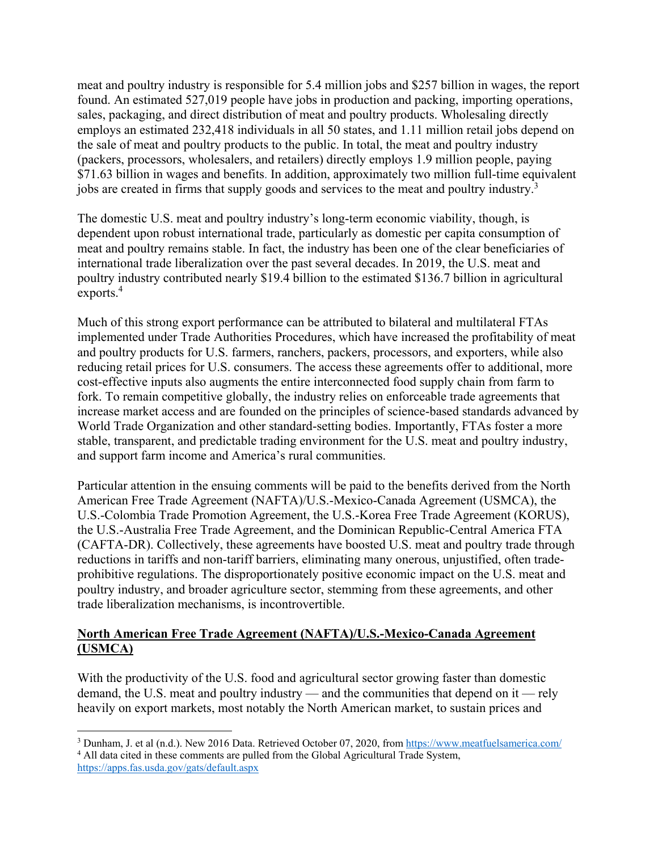meat and poultry industry is responsible for 5.4 million jobs and \$257 billion in wages, the report found. An estimated 527,019 people have jobs in production and packing, importing operations, sales, packaging, and direct distribution of meat and poultry products. Wholesaling directly employs an estimated 232,418 individuals in all 50 states, and 1.11 million retail jobs depend on the sale of meat and poultry products to the public. In total, the meat and poultry industry (packers, processors, wholesalers, and retailers) directly employs 1.9 million people, paying \$71.63 billion in wages and benefits. In addition, approximately two million full-time equivalent jobs are created in firms that supply goods and services to the meat and poultry industry.<sup>3</sup>

The domestic U.S. meat and poultry industry's long-term economic viability, though, is dependent upon robust international trade, particularly as domestic per capita consumption of meat and poultry remains stable. In fact, the industry has been one of the clear beneficiaries of international trade liberalization over the past several decades. In 2019, the U.S. meat and poultry industry contributed nearly \$19.4 billion to the estimated \$136.7 billion in agricultural exports.<sup>4</sup>

Much of this strong export performance can be attributed to bilateral and multilateral FTAs implemented under Trade Authorities Procedures, which have increased the profitability of meat and poultry products for U.S. farmers, ranchers, packers, processors, and exporters, while also reducing retail prices for U.S. consumers. The access these agreements offer to additional, more cost-effective inputs also augments the entire interconnected food supply chain from farm to fork. To remain competitive globally, the industry relies on enforceable trade agreements that increase market access and are founded on the principles of science-based standards advanced by World Trade Organization and other standard-setting bodies. Importantly, FTAs foster a more stable, transparent, and predictable trading environment for the U.S. meat and poultry industry, and support farm income and America's rural communities.

Particular attention in the ensuing comments will be paid to the benefits derived from the North American Free Trade Agreement (NAFTA)/U.S.-Mexico-Canada Agreement (USMCA), the U.S.-Colombia Trade Promotion Agreement, the U.S.-Korea Free Trade Agreement (KORUS), the U.S.-Australia Free Trade Agreement, and the Dominican Republic-Central America FTA (CAFTA-DR). Collectively, these agreements have boosted U.S. meat and poultry trade through reductions in tariffs and non-tariff barriers, eliminating many onerous, unjustified, often tradeprohibitive regulations. The disproportionately positive economic impact on the U.S. meat and poultry industry, and broader agriculture sector, stemming from these agreements, and other trade liberalization mechanisms, is incontrovertible.

## **North American Free Trade Agreement (NAFTA)/U.S.-Mexico-Canada Agreement (USMCA)**

With the productivity of the U.S. food and agricultural sector growing faster than domestic demand, the U.S. meat and poultry industry — and the communities that depend on it — rely heavily on export markets, most notably the North American market, to sustain prices and

 <sup>3</sup> Dunham, J. et al (n.d.). New 2016 Data. Retrieved October 07, 2020, from https://www.meatfuelsamerica.com/<br><sup>4</sup> All data cited in these comments are pulled from the Global Agricultural Trade System <sup>4</sup> All data cited in these comments are pulled from the Global Agricultural Trade System,

https://apps.fas.usda.gov/gats/default.aspx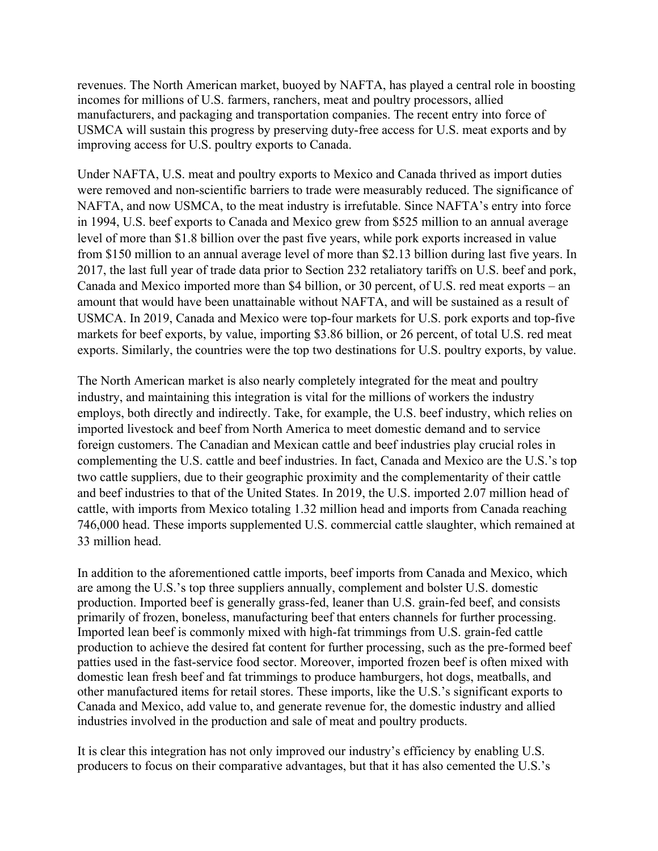revenues. The North American market, buoyed by NAFTA, has played a central role in boosting incomes for millions of U.S. farmers, ranchers, meat and poultry processors, allied manufacturers, and packaging and transportation companies. The recent entry into force of USMCA will sustain this progress by preserving duty-free access for U.S. meat exports and by improving access for U.S. poultry exports to Canada.

Under NAFTA, U.S. meat and poultry exports to Mexico and Canada thrived as import duties were removed and non-scientific barriers to trade were measurably reduced. The significance of NAFTA, and now USMCA, to the meat industry is irrefutable. Since NAFTA's entry into force in 1994, U.S. beef exports to Canada and Mexico grew from \$525 million to an annual average level of more than \$1.8 billion over the past five years, while pork exports increased in value from \$150 million to an annual average level of more than \$2.13 billion during last five years. In 2017, the last full year of trade data prior to Section 232 retaliatory tariffs on U.S. beef and pork, Canada and Mexico imported more than \$4 billion, or 30 percent, of U.S. red meat exports – an amount that would have been unattainable without NAFTA, and will be sustained as a result of USMCA. In 2019, Canada and Mexico were top-four markets for U.S. pork exports and top-five markets for beef exports, by value, importing \$3.86 billion, or 26 percent, of total U.S. red meat exports. Similarly, the countries were the top two destinations for U.S. poultry exports, by value.

The North American market is also nearly completely integrated for the meat and poultry industry, and maintaining this integration is vital for the millions of workers the industry employs, both directly and indirectly. Take, for example, the U.S. beef industry, which relies on imported livestock and beef from North America to meet domestic demand and to service foreign customers. The Canadian and Mexican cattle and beef industries play crucial roles in complementing the U.S. cattle and beef industries. In fact, Canada and Mexico are the U.S.'s top two cattle suppliers, due to their geographic proximity and the complementarity of their cattle and beef industries to that of the United States. In 2019, the U.S. imported 2.07 million head of cattle, with imports from Mexico totaling 1.32 million head and imports from Canada reaching 746,000 head. These imports supplemented U.S. commercial cattle slaughter, which remained at 33 million head.

In addition to the aforementioned cattle imports, beef imports from Canada and Mexico, which are among the U.S.'s top three suppliers annually, complement and bolster U.S. domestic production. Imported beef is generally grass-fed, leaner than U.S. grain-fed beef, and consists primarily of frozen, boneless, manufacturing beef that enters channels for further processing. Imported lean beef is commonly mixed with high-fat trimmings from U.S. grain-fed cattle production to achieve the desired fat content for further processing, such as the pre-formed beef patties used in the fast-service food sector. Moreover, imported frozen beef is often mixed with domestic lean fresh beef and fat trimmings to produce hamburgers, hot dogs, meatballs, and other manufactured items for retail stores. These imports, like the U.S.'s significant exports to Canada and Mexico, add value to, and generate revenue for, the domestic industry and allied industries involved in the production and sale of meat and poultry products.

It is clear this integration has not only improved our industry's efficiency by enabling U.S. producers to focus on their comparative advantages, but that it has also cemented the U.S.'s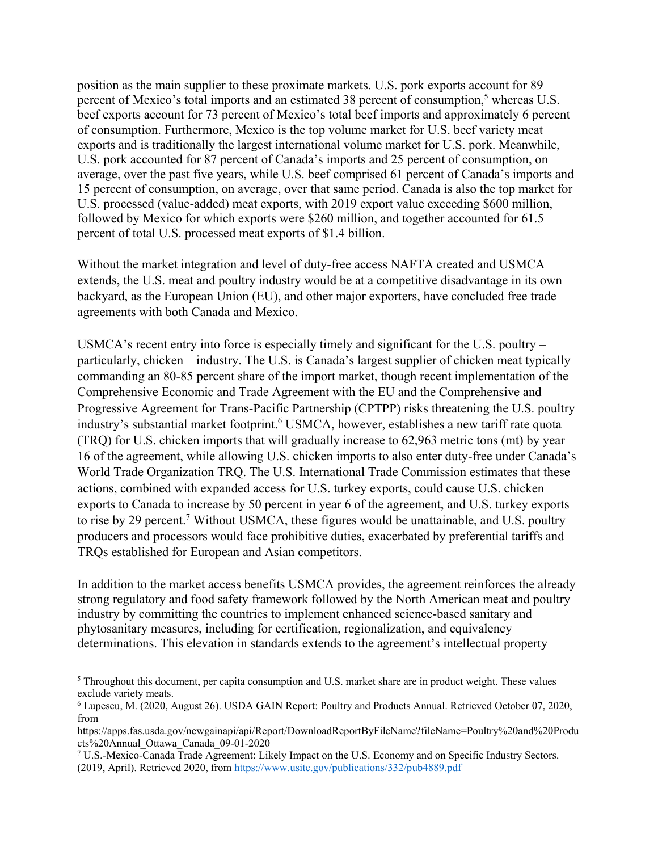position as the main supplier to these proximate markets. U.S. pork exports account for 89 percent of Mexico's total imports and an estimated 38 percent of consumption,<sup>5</sup> whereas U.S. beef exports account for 73 percent of Mexico's total beef imports and approximately 6 percent of consumption. Furthermore, Mexico is the top volume market for U.S. beef variety meat exports and is traditionally the largest international volume market for U.S. pork. Meanwhile, U.S. pork accounted for 87 percent of Canada's imports and 25 percent of consumption, on average, over the past five years, while U.S. beef comprised 61 percent of Canada's imports and 15 percent of consumption, on average, over that same period. Canada is also the top market for U.S. processed (value-added) meat exports, with 2019 export value exceeding \$600 million, followed by Mexico for which exports were \$260 million, and together accounted for 61.5 percent of total U.S. processed meat exports of \$1.4 billion.

Without the market integration and level of duty-free access NAFTA created and USMCA extends, the U.S. meat and poultry industry would be at a competitive disadvantage in its own backyard, as the European Union (EU), and other major exporters, have concluded free trade agreements with both Canada and Mexico.

USMCA's recent entry into force is especially timely and significant for the U.S. poultry – particularly, chicken – industry. The U.S. is Canada's largest supplier of chicken meat typically commanding an 80-85 percent share of the import market, though recent implementation of the Comprehensive Economic and Trade Agreement with the EU and the Comprehensive and Progressive Agreement for Trans-Pacific Partnership (CPTPP) risks threatening the U.S. poultry industry's substantial market footprint.<sup>6</sup> USMCA, however, establishes a new tariff rate quota (TRQ) for U.S. chicken imports that will gradually increase to 62,963 metric tons (mt) by year 16 of the agreement, while allowing U.S. chicken imports to also enter duty-free under Canada's World Trade Organization TRQ. The U.S. International Trade Commission estimates that these actions, combined with expanded access for U.S. turkey exports, could cause U.S. chicken exports to Canada to increase by 50 percent in year 6 of the agreement, and U.S. turkey exports to rise by 29 percent.<sup>7</sup> Without USMCA, these figures would be unattainable, and U.S. poultry producers and processors would face prohibitive duties, exacerbated by preferential tariffs and TRQs established for European and Asian competitors.

In addition to the market access benefits USMCA provides, the agreement reinforces the already strong regulatory and food safety framework followed by the North American meat and poultry industry by committing the countries to implement enhanced science-based sanitary and phytosanitary measures, including for certification, regionalization, and equivalency determinations. This elevation in standards extends to the agreement's intellectual property

 $<sup>5</sup>$  Throughout this document, per capita consumption and U.S. market share are in product weight. These values</sup> exclude variety meats.

<sup>6</sup> Lupescu, M. (2020, August 26). USDA GAIN Report: Poultry and Products Annual. Retrieved October 07, 2020, from

https://apps.fas.usda.gov/newgainapi/api/Report/DownloadReportByFileName?fileName=Poultry%20and%20Produ cts%20Annual\_Ottawa\_Canada\_09-01-2020

<sup>&</sup>lt;sup>7</sup> U.S.-Mexico-Canada Trade Agreement: Likely Impact on the U.S. Economy and on Specific Industry Sectors. (2019, April). Retrieved 2020, from https://www.usitc.gov/publications/332/pub4889.pdf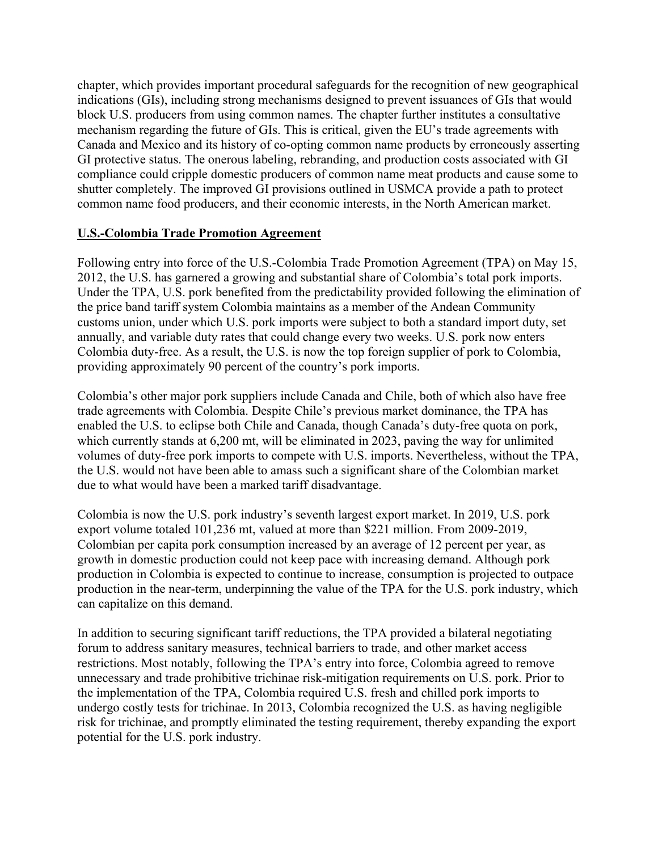chapter, which provides important procedural safeguards for the recognition of new geographical indications (GIs), including strong mechanisms designed to prevent issuances of GIs that would block U.S. producers from using common names. The chapter further institutes a consultative mechanism regarding the future of GIs. This is critical, given the EU's trade agreements with Canada and Mexico and its history of co-opting common name products by erroneously asserting GI protective status. The onerous labeling, rebranding, and production costs associated with GI compliance could cripple domestic producers of common name meat products and cause some to shutter completely. The improved GI provisions outlined in USMCA provide a path to protect common name food producers, and their economic interests, in the North American market.

## **U.S.-Colombia Trade Promotion Agreement**

Following entry into force of the U.S.-Colombia Trade Promotion Agreement (TPA) on May 15, 2012, the U.S. has garnered a growing and substantial share of Colombia's total pork imports. Under the TPA, U.S. pork benefited from the predictability provided following the elimination of the price band tariff system Colombia maintains as a member of the Andean Community customs union, under which U.S. pork imports were subject to both a standard import duty, set annually, and variable duty rates that could change every two weeks. U.S. pork now enters Colombia duty-free. As a result, the U.S. is now the top foreign supplier of pork to Colombia, providing approximately 90 percent of the country's pork imports.

Colombia's other major pork suppliers include Canada and Chile, both of which also have free trade agreements with Colombia. Despite Chile's previous market dominance, the TPA has enabled the U.S. to eclipse both Chile and Canada, though Canada's duty-free quota on pork, which currently stands at 6,200 mt, will be eliminated in 2023, paving the way for unlimited volumes of duty-free pork imports to compete with U.S. imports. Nevertheless, without the TPA, the U.S. would not have been able to amass such a significant share of the Colombian market due to what would have been a marked tariff disadvantage.

Colombia is now the U.S. pork industry's seventh largest export market. In 2019, U.S. pork export volume totaled 101,236 mt, valued at more than \$221 million. From 2009-2019, Colombian per capita pork consumption increased by an average of 12 percent per year, as growth in domestic production could not keep pace with increasing demand. Although pork production in Colombia is expected to continue to increase, consumption is projected to outpace production in the near-term, underpinning the value of the TPA for the U.S. pork industry, which can capitalize on this demand.

In addition to securing significant tariff reductions, the TPA provided a bilateral negotiating forum to address sanitary measures, technical barriers to trade, and other market access restrictions. Most notably, following the TPA's entry into force, Colombia agreed to remove unnecessary and trade prohibitive trichinae risk-mitigation requirements on U.S. pork. Prior to the implementation of the TPA, Colombia required U.S. fresh and chilled pork imports to undergo costly tests for trichinae. In 2013, Colombia recognized the U.S. as having negligible risk for trichinae, and promptly eliminated the testing requirement, thereby expanding the export potential for the U.S. pork industry.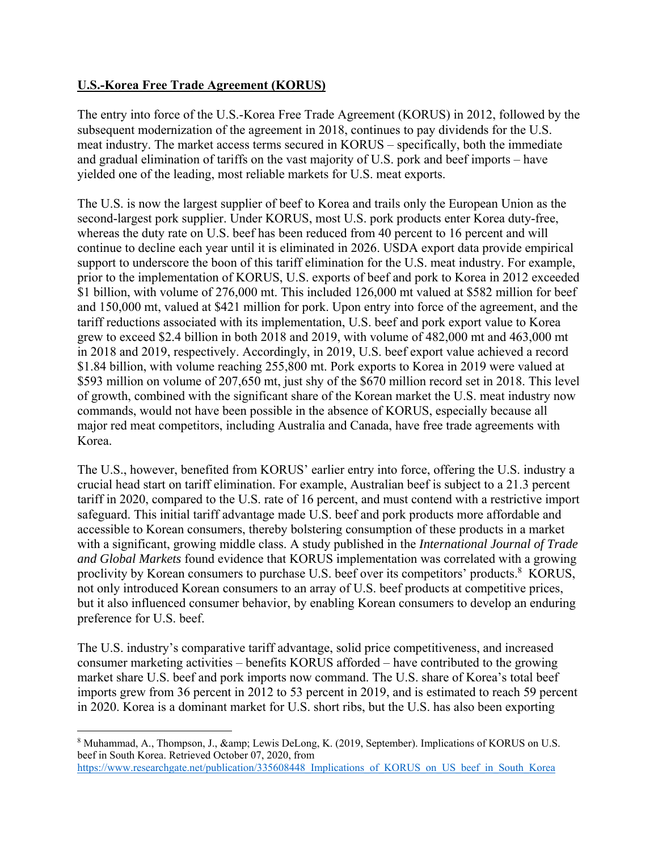# **U.S.-Korea Free Trade Agreement (KORUS)**

The entry into force of the U.S.-Korea Free Trade Agreement (KORUS) in 2012, followed by the subsequent modernization of the agreement in 2018, continues to pay dividends for the U.S. meat industry. The market access terms secured in KORUS – specifically, both the immediate and gradual elimination of tariffs on the vast majority of U.S. pork and beef imports – have yielded one of the leading, most reliable markets for U.S. meat exports.

The U.S. is now the largest supplier of beef to Korea and trails only the European Union as the second-largest pork supplier. Under KORUS, most U.S. pork products enter Korea duty-free, whereas the duty rate on U.S. beef has been reduced from 40 percent to 16 percent and will continue to decline each year until it is eliminated in 2026. USDA export data provide empirical support to underscore the boon of this tariff elimination for the U.S. meat industry. For example, prior to the implementation of KORUS, U.S. exports of beef and pork to Korea in 2012 exceeded \$1 billion, with volume of 276,000 mt. This included 126,000 mt valued at \$582 million for beef and 150,000 mt, valued at \$421 million for pork. Upon entry into force of the agreement, and the tariff reductions associated with its implementation, U.S. beef and pork export value to Korea grew to exceed \$2.4 billion in both 2018 and 2019, with volume of 482,000 mt and 463,000 mt in 2018 and 2019, respectively. Accordingly, in 2019, U.S. beef export value achieved a record \$1.84 billion, with volume reaching 255,800 mt. Pork exports to Korea in 2019 were valued at \$593 million on volume of 207,650 mt, just shy of the \$670 million record set in 2018. This level of growth, combined with the significant share of the Korean market the U.S. meat industry now commands, would not have been possible in the absence of KORUS, especially because all major red meat competitors, including Australia and Canada, have free trade agreements with Korea.

The U.S., however, benefited from KORUS' earlier entry into force, offering the U.S. industry a crucial head start on tariff elimination. For example, Australian beef is subject to a 21.3 percent tariff in 2020, compared to the U.S. rate of 16 percent, and must contend with a restrictive import safeguard. This initial tariff advantage made U.S. beef and pork products more affordable and accessible to Korean consumers, thereby bolstering consumption of these products in a market with a significant, growing middle class. A study published in the *International Journal of Trade and Global Markets* found evidence that KORUS implementation was correlated with a growing proclivity by Korean consumers to purchase U.S. beef over its competitors' products.<sup>8</sup> KORUS, not only introduced Korean consumers to an array of U.S. beef products at competitive prices, but it also influenced consumer behavior, by enabling Korean consumers to develop an enduring preference for U.S. beef.

The U.S. industry's comparative tariff advantage, solid price competitiveness, and increased consumer marketing activities – benefits KORUS afforded – have contributed to the growing market share U.S. beef and pork imports now command. The U.S. share of Korea's total beef imports grew from 36 percent in 2012 to 53 percent in 2019, and is estimated to reach 59 percent in 2020. Korea is a dominant market for U.S. short ribs, but the U.S. has also been exporting

<sup>8</sup> Muhammad, A., Thompson, J., & Lewis DeLong, K. (2019, September). Implications of KORUS on U.S. beef in South Korea. Retrieved October 07, 2020, from https://www.researchgate.net/publication/335608448 Implications of KORUS on US beef in South Korea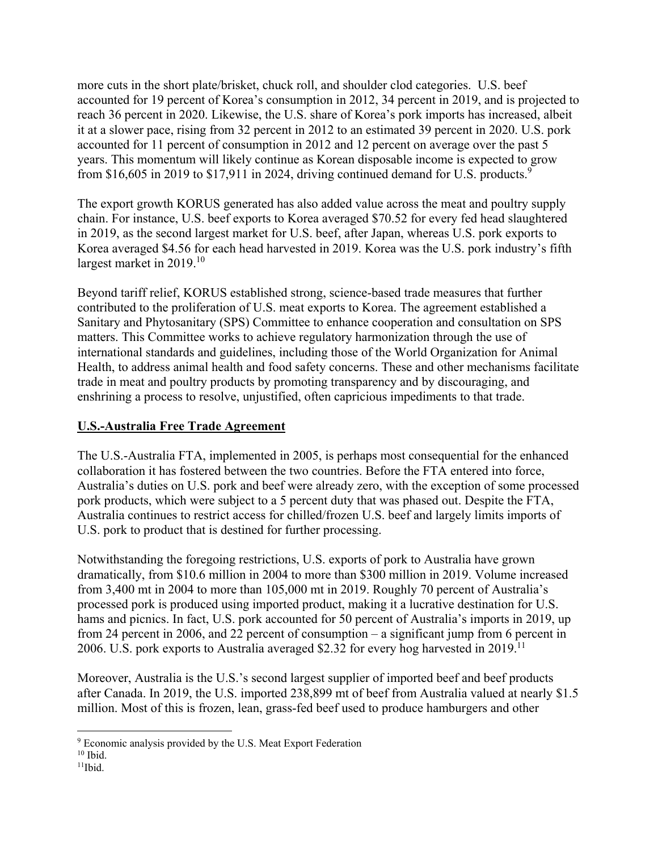more cuts in the short plate/brisket, chuck roll, and shoulder clod categories. U.S. beef accounted for 19 percent of Korea's consumption in 2012, 34 percent in 2019, and is projected to reach 36 percent in 2020. Likewise, the U.S. share of Korea's pork imports has increased, albeit it at a slower pace, rising from 32 percent in 2012 to an estimated 39 percent in 2020. U.S. pork accounted for 11 percent of consumption in 2012 and 12 percent on average over the past 5 years. This momentum will likely continue as Korean disposable income is expected to grow from \$16,605 in 2019 to \$17,911 in 2024, driving continued demand for U.S. products.<sup>9</sup>

The export growth KORUS generated has also added value across the meat and poultry supply chain. For instance, U.S. beef exports to Korea averaged \$70.52 for every fed head slaughtered in 2019, as the second largest market for U.S. beef, after Japan, whereas U.S. pork exports to Korea averaged \$4.56 for each head harvested in 2019. Korea was the U.S. pork industry's fifth largest market in 2019.<sup>10</sup>

Beyond tariff relief, KORUS established strong, science-based trade measures that further contributed to the proliferation of U.S. meat exports to Korea. The agreement established a Sanitary and Phytosanitary (SPS) Committee to enhance cooperation and consultation on SPS matters. This Committee works to achieve regulatory harmonization through the use of international standards and guidelines, including those of the World Organization for Animal Health, to address animal health and food safety concerns. These and other mechanisms facilitate trade in meat and poultry products by promoting transparency and by discouraging, and enshrining a process to resolve, unjustified, often capricious impediments to that trade.

## **U.S.-Australia Free Trade Agreement**

The U.S.-Australia FTA, implemented in 2005, is perhaps most consequential for the enhanced collaboration it has fostered between the two countries. Before the FTA entered into force, Australia's duties on U.S. pork and beef were already zero, with the exception of some processed pork products, which were subject to a 5 percent duty that was phased out. Despite the FTA, Australia continues to restrict access for chilled/frozen U.S. beef and largely limits imports of U.S. pork to product that is destined for further processing.

Notwithstanding the foregoing restrictions, U.S. exports of pork to Australia have grown dramatically, from \$10.6 million in 2004 to more than \$300 million in 2019. Volume increased from 3,400 mt in 2004 to more than 105,000 mt in 2019. Roughly 70 percent of Australia's processed pork is produced using imported product, making it a lucrative destination for U.S. hams and picnics. In fact, U.S. pork accounted for 50 percent of Australia's imports in 2019, up from 24 percent in 2006, and 22 percent of consumption – a significant jump from 6 percent in 2006. U.S. pork exports to Australia averaged \$2.32 for every hog harvested in  $2019$ .<sup>11</sup>

Moreover, Australia is the U.S.'s second largest supplier of imported beef and beef products after Canada. In 2019, the U.S. imported 238,899 mt of beef from Australia valued at nearly \$1.5 million. Most of this is frozen, lean, grass-fed beef used to produce hamburgers and other

 <sup>9</sup> Economic analysis provided by the U.S. Meat Export Federation

 $10$  Ibid.

 $11$ Ibid.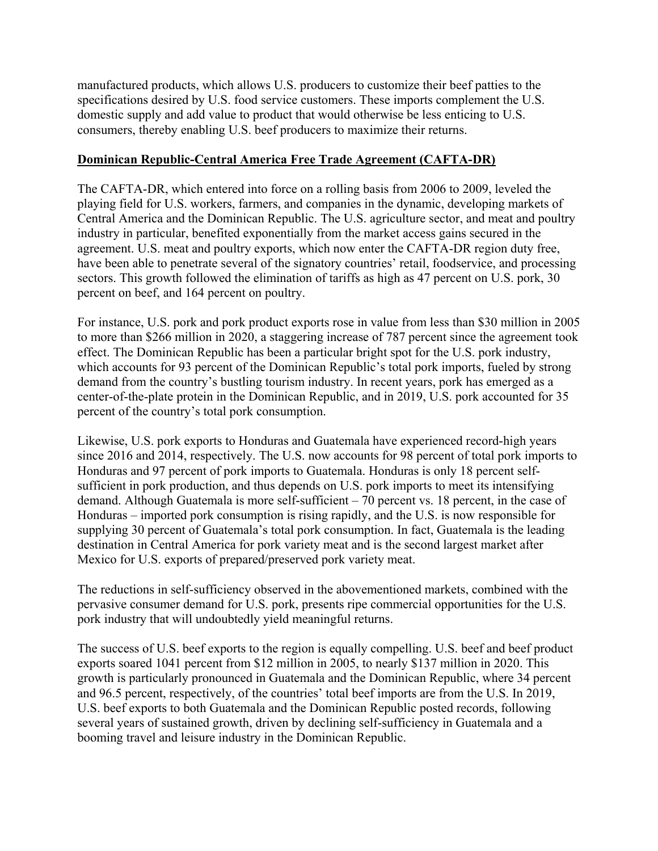manufactured products, which allows U.S. producers to customize their beef patties to the specifications desired by U.S. food service customers. These imports complement the U.S. domestic supply and add value to product that would otherwise be less enticing to U.S. consumers, thereby enabling U.S. beef producers to maximize their returns.

### **Dominican Republic-Central America Free Trade Agreement (CAFTA-DR)**

The CAFTA-DR, which entered into force on a rolling basis from 2006 to 2009, leveled the playing field for U.S. workers, farmers, and companies in the dynamic, developing markets of Central America and the Dominican Republic. The U.S. agriculture sector, and meat and poultry industry in particular, benefited exponentially from the market access gains secured in the agreement. U.S. meat and poultry exports, which now enter the CAFTA-DR region duty free, have been able to penetrate several of the signatory countries' retail, foodservice, and processing sectors. This growth followed the elimination of tariffs as high as 47 percent on U.S. pork, 30 percent on beef, and 164 percent on poultry.

For instance, U.S. pork and pork product exports rose in value from less than \$30 million in 2005 to more than \$266 million in 2020, a staggering increase of 787 percent since the agreement took effect. The Dominican Republic has been a particular bright spot for the U.S. pork industry, which accounts for 93 percent of the Dominican Republic's total pork imports, fueled by strong demand from the country's bustling tourism industry. In recent years, pork has emerged as a center-of-the-plate protein in the Dominican Republic, and in 2019, U.S. pork accounted for 35 percent of the country's total pork consumption.

Likewise, U.S. pork exports to Honduras and Guatemala have experienced record-high years since 2016 and 2014, respectively. The U.S. now accounts for 98 percent of total pork imports to Honduras and 97 percent of pork imports to Guatemala. Honduras is only 18 percent selfsufficient in pork production, and thus depends on U.S. pork imports to meet its intensifying demand. Although Guatemala is more self-sufficient – 70 percent vs. 18 percent, in the case of Honduras – imported pork consumption is rising rapidly, and the U.S. is now responsible for supplying 30 percent of Guatemala's total pork consumption. In fact, Guatemala is the leading destination in Central America for pork variety meat and is the second largest market after Mexico for U.S. exports of prepared/preserved pork variety meat.

The reductions in self-sufficiency observed in the abovementioned markets, combined with the pervasive consumer demand for U.S. pork, presents ripe commercial opportunities for the U.S. pork industry that will undoubtedly yield meaningful returns.

The success of U.S. beef exports to the region is equally compelling. U.S. beef and beef product exports soared 1041 percent from \$12 million in 2005, to nearly \$137 million in 2020. This growth is particularly pronounced in Guatemala and the Dominican Republic, where 34 percent and 96.5 percent, respectively, of the countries' total beef imports are from the U.S. In 2019, U.S. beef exports to both Guatemala and the Dominican Republic posted records, following several years of sustained growth, driven by declining self-sufficiency in Guatemala and a booming travel and leisure industry in the Dominican Republic.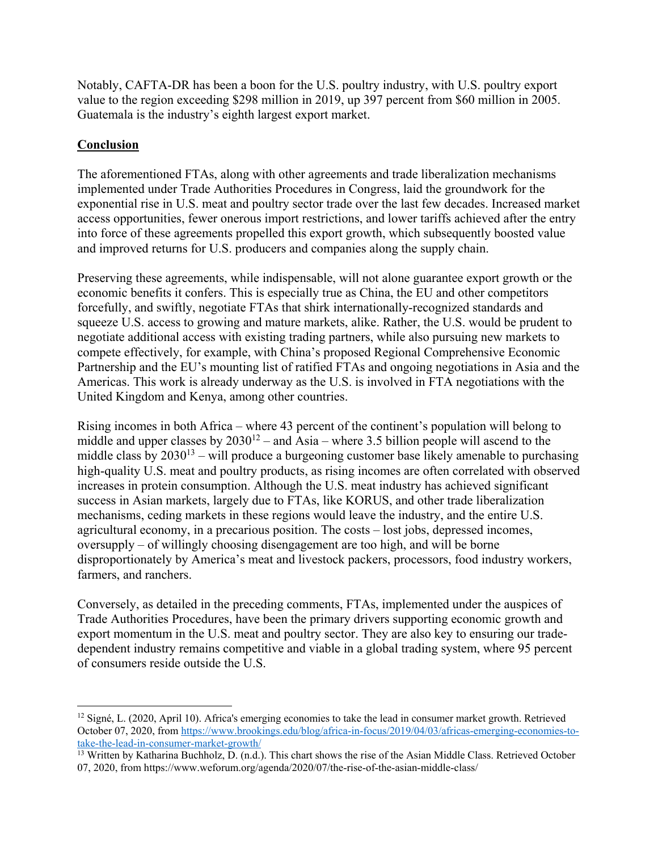Notably, CAFTA-DR has been a boon for the U.S. poultry industry, with U.S. poultry export value to the region exceeding \$298 million in 2019, up 397 percent from \$60 million in 2005. Guatemala is the industry's eighth largest export market.

## **Conclusion**

The aforementioned FTAs, along with other agreements and trade liberalization mechanisms implemented under Trade Authorities Procedures in Congress, laid the groundwork for the exponential rise in U.S. meat and poultry sector trade over the last few decades. Increased market access opportunities, fewer onerous import restrictions, and lower tariffs achieved after the entry into force of these agreements propelled this export growth, which subsequently boosted value and improved returns for U.S. producers and companies along the supply chain.

Preserving these agreements, while indispensable, will not alone guarantee export growth or the economic benefits it confers. This is especially true as China, the EU and other competitors forcefully, and swiftly, negotiate FTAs that shirk internationally-recognized standards and squeeze U.S. access to growing and mature markets, alike. Rather, the U.S. would be prudent to negotiate additional access with existing trading partners, while also pursuing new markets to compete effectively, for example, with China's proposed Regional Comprehensive Economic Partnership and the EU's mounting list of ratified FTAs and ongoing negotiations in Asia and the Americas. This work is already underway as the U.S. is involved in FTA negotiations with the United Kingdom and Kenya, among other countries.

Rising incomes in both Africa – where 43 percent of the continent's population will belong to middle and upper classes by  $2030^{12}$  – and Asia – where 3.5 billion people will ascend to the middle class by  $2030^{13}$  – will produce a burgeoning customer base likely amenable to purchasing high-quality U.S. meat and poultry products, as rising incomes are often correlated with observed increases in protein consumption. Although the U.S. meat industry has achieved significant success in Asian markets, largely due to FTAs, like KORUS, and other trade liberalization mechanisms, ceding markets in these regions would leave the industry, and the entire U.S. agricultural economy, in a precarious position. The costs – lost jobs, depressed incomes, oversupply – of willingly choosing disengagement are too high, and will be borne disproportionately by America's meat and livestock packers, processors, food industry workers, farmers, and ranchers.

Conversely, as detailed in the preceding comments, FTAs, implemented under the auspices of Trade Authorities Procedures, have been the primary drivers supporting economic growth and export momentum in the U.S. meat and poultry sector. They are also key to ensuring our tradedependent industry remains competitive and viable in a global trading system, where 95 percent of consumers reside outside the U.S.

 $12$  Signé, L. (2020, April 10). Africa's emerging economies to take the lead in consumer market growth. Retrieved October 07, 2020, from https://www.brookings.edu/blog/africa-in-focus/2019/04/03/africas-emerging-economies-totake-the-lead-in-consumer-market-growth/<br><sup>13</sup> Written by Katharina Buchholz, D. (n.d.). This chart shows the rise of the Asian Middle Class. Retrieved October

<sup>07, 2020,</sup> from https://www.weforum.org/agenda/2020/07/the-rise-of-the-asian-middle-class/